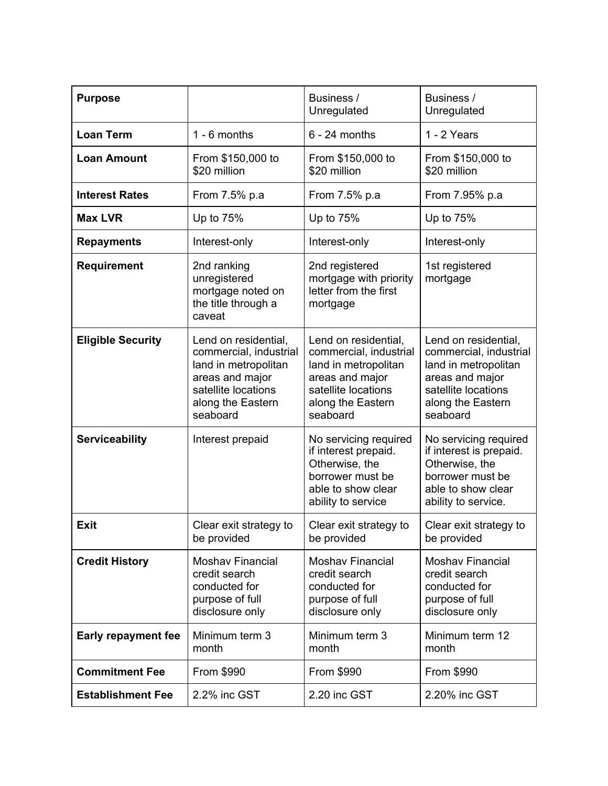| <b>Purpose</b>             |                                                                                                                                                   | Business /<br>Unregulated                                                                                                                         | Business /<br>Unregulated                                                                                                                         |
|----------------------------|---------------------------------------------------------------------------------------------------------------------------------------------------|---------------------------------------------------------------------------------------------------------------------------------------------------|---------------------------------------------------------------------------------------------------------------------------------------------------|
| <b>Loan Term</b>           | $1 - 6$ months                                                                                                                                    | $6 - 24$ months                                                                                                                                   | 1 - 2 Years                                                                                                                                       |
| <b>Loan Amount</b>         | From \$150,000 to<br>\$20 million                                                                                                                 | From \$150,000 to<br>\$20 million                                                                                                                 | From \$150,000 to<br>\$20 million                                                                                                                 |
| <b>Interest Rates</b>      | From 7.5% p.a                                                                                                                                     | From 7.5% p.a                                                                                                                                     | From 7.95% p.a                                                                                                                                    |
| <b>Max LVR</b>             | Up to 75%                                                                                                                                         | Up to 75%                                                                                                                                         | Up to 75%                                                                                                                                         |
| <b>Repayments</b>          | Interest-only                                                                                                                                     | Interest-only                                                                                                                                     | Interest-only                                                                                                                                     |
| <b>Requirement</b>         | 2nd ranking<br>unregistered<br>mortgage noted on<br>the title through a<br>caveat                                                                 | 2nd registered<br>mortgage with priority<br>letter from the first<br>mortgage                                                                     | 1st registered<br>mortgage                                                                                                                        |
| <b>Eligible Security</b>   | Lend on residential,<br>commercial, industrial<br>land in metropolitan<br>areas and major<br>satellite locations<br>along the Eastern<br>seaboard | Lend on residential,<br>commercial, industrial<br>land in metropolitan<br>areas and major<br>satellite locations<br>along the Eastern<br>seaboard | Lend on residential,<br>commercial, industrial<br>land in metropolitan<br>areas and major<br>satellite locations<br>along the Eastern<br>seaboard |
| <b>Serviceability</b>      | Interest prepaid                                                                                                                                  | No servicing required<br>if interest prepaid.<br>Otherwise, the<br>borrower must be<br>able to show clear<br>ability to service                   | No servicing required<br>if interest is prepaid.<br>Otherwise, the<br>borrower must be<br>able to show clear<br>ability to service.               |
| <b>Exit</b>                | Clear exit strategy to<br>be provided                                                                                                             | Clear exit strategy to<br>be provided                                                                                                             | Clear exit strategy to<br>be provided                                                                                                             |
| <b>Credit History</b>      | <b>Moshav Financial</b><br>credit search<br>conducted for<br>purpose of full<br>disclosure only                                                   | <b>Moshav Financial</b><br>credit search<br>conducted for<br>purpose of full<br>disclosure only                                                   | <b>Moshav Financial</b><br>credit search<br>conducted for<br>purpose of full<br>disclosure only                                                   |
| <b>Early repayment fee</b> | Minimum term 3<br>month                                                                                                                           | Minimum term 3<br>month                                                                                                                           | Minimum term 12<br>month                                                                                                                          |
| <b>Commitment Fee</b>      | From \$990                                                                                                                                        | From \$990                                                                                                                                        | From \$990                                                                                                                                        |
| <b>Establishment Fee</b>   | 2.2% inc GST                                                                                                                                      | 2.20 inc GST                                                                                                                                      | 2.20% inc GST                                                                                                                                     |